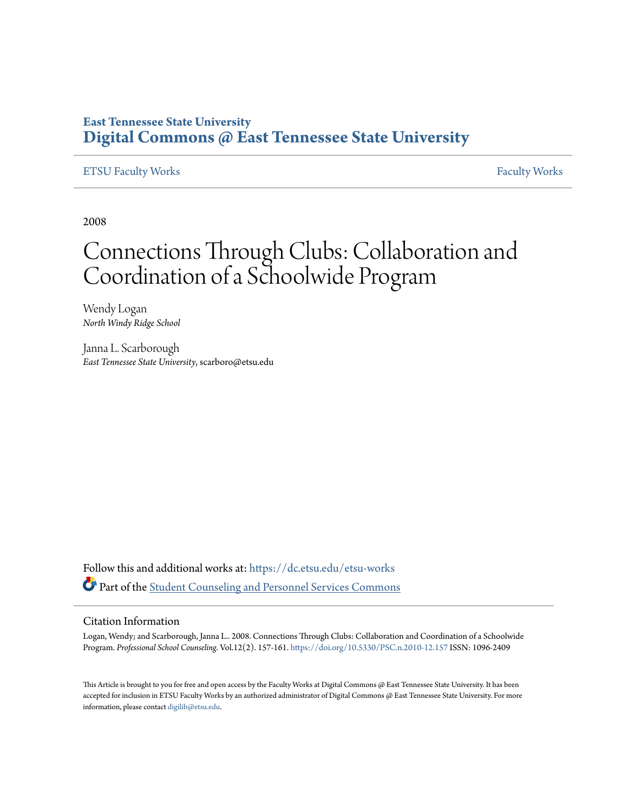### **East Tennessee State University [Digital Commons @ East Tennessee State University](https://dc.etsu.edu?utm_source=dc.etsu.edu%2Fetsu-works%2F1295&utm_medium=PDF&utm_campaign=PDFCoverPages)**

#### [ETSU Faculty Works](https://dc.etsu.edu/etsu-works?utm_source=dc.etsu.edu%2Fetsu-works%2F1295&utm_medium=PDF&utm_campaign=PDFCoverPages) [Faculty Works](https://dc.etsu.edu/faculty-works?utm_source=dc.etsu.edu%2Fetsu-works%2F1295&utm_medium=PDF&utm_campaign=PDFCoverPages) Faculty Works

2008

## Connections Through Clubs: Collaboration and Coordination of a Schoolwide Program

Wendy Logan *North Windy Ridge School*

Janna L. Scarborough *East Tennessee State University*, scarboro@etsu.edu

Follow this and additional works at: [https://dc.etsu.edu/etsu-works](https://dc.etsu.edu/etsu-works?utm_source=dc.etsu.edu%2Fetsu-works%2F1295&utm_medium=PDF&utm_campaign=PDFCoverPages) Part of the [Student Counseling and Personnel Services Commons](http://network.bepress.com/hgg/discipline/802?utm_source=dc.etsu.edu%2Fetsu-works%2F1295&utm_medium=PDF&utm_campaign=PDFCoverPages)

#### Citation Information

Logan, Wendy; and Scarborough, Janna L.. 2008. Connections Through Clubs: Collaboration and Coordination of a Schoolwide Program. *Professional School Counseling*. Vol.12(2). 157-161. <https://doi.org/10.5330/PSC.n.2010-12.157> ISSN: 1096-2409

This Article is brought to you for free and open access by the Faculty Works at Digital Commons @ East Tennessee State University. It has been accepted for inclusion in ETSU Faculty Works by an authorized administrator of Digital Commons @ East Tennessee State University. For more information, please contact [digilib@etsu.edu.](mailto:digilib@etsu.edu)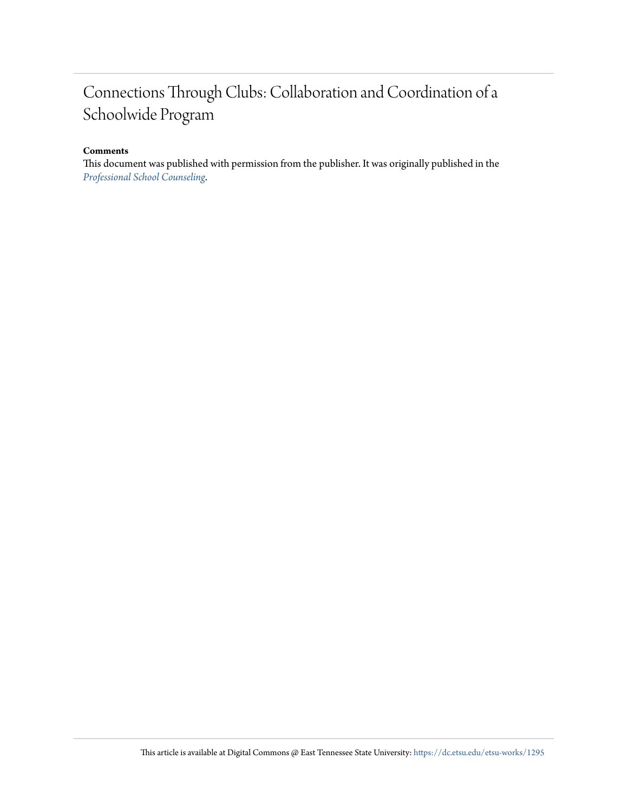## Connections Through Clubs: Collaboration and Coordination of a Schoolwide Program

#### **Comments**

This document was published with permission from the publisher. It was originally published in the *[Professional School Counseling](https://doi.org/10.5330/PSC.n.2010-12.157)*.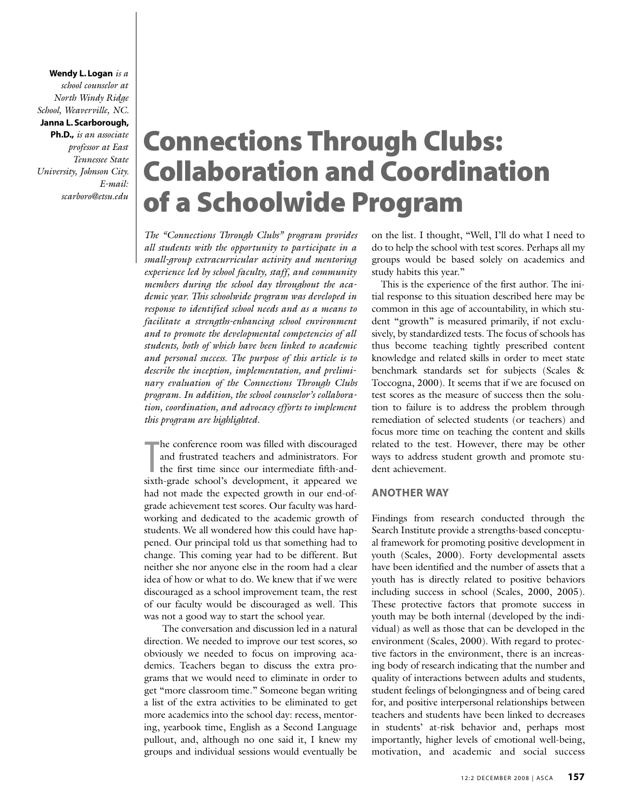**Wendy L. Logan** *is a school counselor at North Windy Ridge School, Weaverville, NC.*  **Janna L. Scarborough, Ph.D.,** *is an associate professor at East Tennessee State University, Johnson City.*

*E-mail:*

*scarboro@etsu.edu*

# **Connections Through Clubs: Collaboration and Coordination of a Schoolwide Program**

*The "Connections Through Clubs" program provides all students with the opportunity to participate in a small-group extracurricular activity and mentoring experience led by school faculty, staff, and community members during the school day throughout the academic year. This schoolwide program was developed in response to identified school needs and as a means to facilitate a strengths-enhancing school environment and to promote the developmental competencies of all students, both of which have been linked to academic and personal success. The purpose of this article is to describe the inception, implementation, and preliminary evaluation of the Connections Through Clubs program. In addition, the school counselor's collaboration, coordination, and advocacy efforts to implement this program are highlighted.*

The conference room was filled with discouraged<br>and frustrated teachers and administrators. For<br>the first time since our intermediate fifth-and-<br>sixth grade school's development, it appeared we and frustrated teachers and administrators. For the first time since our intermediate fifth-andsixth-grade school's development, it appeared we had not made the expected growth in our end-ofgrade achievement test scores. Our faculty was hardworking and dedicated to the academic growth of students. We all wondered how this could have happened. Our principal told us that something had to change. This coming year had to be different. But neither she nor anyone else in the room had a clear idea of how or what to do. We knew that if we were discouraged as a school improvement team, the rest of our faculty would be discouraged as well. This was not a good way to start the school year.

The conversation and discussion led in a natural direction. We needed to improve our test scores, so obviously we needed to focus on improving academics. Teachers began to discuss the extra programs that we would need to eliminate in order to get "more classroom time." Someone began writing a list of the extra activities to be eliminated to get more academics into the school day: recess, mentoring, yearbook time, English as a Second Language pullout, and, although no one said it, I knew my groups and individual sessions would eventually be

on the list. I thought, "Well, I'll do what I need to do to help the school with test scores. Perhaps all my groups would be based solely on academics and study habits this year."

This is the experience of the first author. The initial response to this situation described here may be common in this age of accountability, in which student "growth" is measured primarily, if not exclusively, by standardized tests. The focus of schools has thus become teaching tightly prescribed content knowledge and related skills in order to meet state benchmark standards set for subjects (Scales & Toccogna, 2000). It seems that if we are focused on test scores as the measure of success then the solution to failure is to address the problem through remediation of selected students (or teachers) and focus more time on teaching the content and skills related to the test. However, there may be other ways to address student growth and promote student achievement.

#### **ANOTHER WAY**

Findings from research conducted through the Search Institute provide a strengths-based conceptual framework for promoting positive development in youth (Scales, 2000). Forty developmental assets have been identified and the number of assets that a youth has is directly related to positive behaviors including success in school (Scales, 2000, 2005). These protective factors that promote success in youth may be both internal (developed by the individual) as well as those that can be developed in the environment (Scales, 2000). With regard to protective factors in the environment, there is an increasing body of research indicating that the number and quality of interactions between adults and students, student feelings of belongingness and of being cared for, and positive interpersonal relationships between teachers and students have been linked to decreases in students' at-risk behavior and, perhaps most importantly, higher levels of emotional well-being, motivation, and academic and social success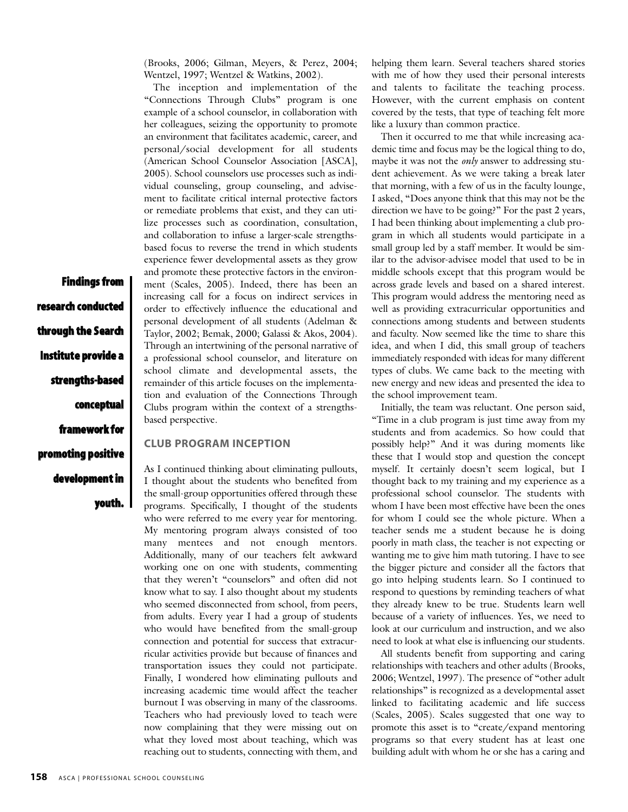(Brooks, 2006; Gilman, Meyers, & Perez, 2004; Wentzel, 1997; Wentzel & Watkins, 2002).

The inception and implementation of the "Connections Through Clubs" program is one example of a school counselor, in collaboration with her colleagues, seizing the opportunity to promote an environment that facilitates academic, career, and personal/social development for all students (American School Counselor Association [ASCA], 2005). School counselors use processes such as individual counseling, group counseling, and advisement to facilitate critical internal protective factors or remediate problems that exist, and they can utilize processes such as coordination, consultation, and collaboration to infuse a larger-scale strengthsbased focus to reverse the trend in which students experience fewer developmental assets as they grow

and promote these protective factors in the environment (Scales, 2005). Indeed, there has been an increasing call for a focus on indirect services in order to effectively influence the educational and personal development of all students (Adelman & Taylor, 2002; Bemak, 2000; Galassi & Akos, 2004). Through an intertwining of the personal narrative of a professional school counselor, and literature on school climate and developmental assets, the remainder of this article focuses on the implementation and evaluation of the Connections Through Clubs program within the context of a strengthsbased perspective.

#### **CLUB PROGRAM INCEPTION**

As I continued thinking about eliminating pullouts, I thought about the students who benefited from the small-group opportunities offered through these programs. Specifically, I thought of the students who were referred to me every year for mentoring. My mentoring program always consisted of too many mentees and not enough mentors. Additionally, many of our teachers felt awkward working one on one with students, commenting that they weren't "counselors" and often did not know what to say. I also thought about my students who seemed disconnected from school, from peers, from adults. Every year I had a group of students who would have benefited from the small-group connection and potential for success that extracurricular activities provide but because of finances and transportation issues they could not participate. Finally, I wondered how eliminating pullouts and increasing academic time would affect the teacher burnout I was observing in many of the classrooms. Teachers who had previously loved to teach were now complaining that they were missing out on what they loved most about teaching, which was reaching out to students, connecting with them, and

helping them learn. Several teachers shared stories with me of how they used their personal interests and talents to facilitate the teaching process. However, with the current emphasis on content covered by the tests, that type of teaching felt more like a luxury than common practice.

Then it occurred to me that while increasing academic time and focus may be the logical thing to do, maybe it was not the *only* answer to addressing student achievement. As we were taking a break later that morning, with a few of us in the faculty lounge, I asked, "Does anyone think that this may not be the direction we have to be going?" For the past 2 years, I had been thinking about implementing a club program in which all students would participate in a small group led by a staff member. It would be similar to the advisor-advisee model that used to be in middle schools except that this program would be across grade levels and based on a shared interest. This program would address the mentoring need as well as providing extracurricular opportunities and connections among students and between students and faculty. Now seemed like the time to share this idea, and when I did, this small group of teachers immediately responded with ideas for many different types of clubs. We came back to the meeting with new energy and new ideas and presented the idea to the school improvement team.

Initially, the team was reluctant. One person said, "Time in a club program is just time away from my students and from academics. So how could that possibly help?" And it was during moments like these that I would stop and question the concept myself. It certainly doesn't seem logical, but I thought back to my training and my experience as a professional school counselor. The students with whom I have been most effective have been the ones for whom I could see the whole picture. When a teacher sends me a student because he is doing poorly in math class, the teacher is not expecting or wanting me to give him math tutoring. I have to see the bigger picture and consider all the factors that go into helping students learn. So I continued to respond to questions by reminding teachers of what they already knew to be true. Students learn well because of a variety of influences. Yes, we need to look at our curriculum and instruction, and we also need to look at what else is influencing our students.

All students benefit from supporting and caring relationships with teachers and other adults (Brooks, 2006; Wentzel, 1997). The presence of "other adult relationships" is recognized as a developmental asset linked to facilitating academic and life success (Scales, 2005). Scales suggested that one way to promote this asset is to "create/expand mentoring programs so that every student has at least one building adult with whom he or she has a caring and

**Findings from research conducted through the Search Institute provide a strengths-based conceptual framework for promoting positive development in youth.**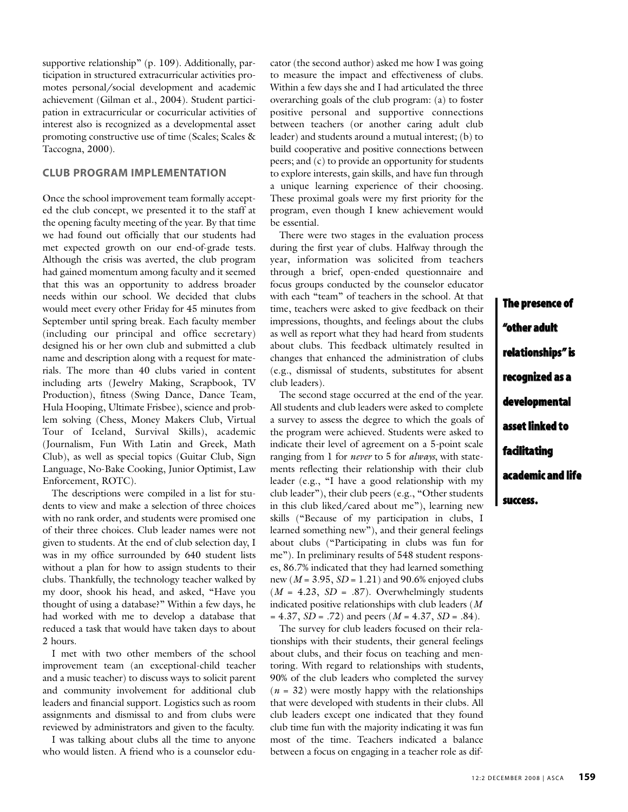supportive relationship" (p. 109). Additionally, participation in structured extracurricular activities promotes personal/social development and academic achievement (Gilman et al., 2004). Student participation in extracurricular or cocurricular activities of interest also is recognized as a developmental asset promoting constructive use of time (Scales; Scales & Taccogna, 2000).

#### **CLUB PROGRAM IMPLEMENTATION**

Once the school improvement team formally accepted the club concept, we presented it to the staff at the opening faculty meeting of the year. By that time we had found out officially that our students had met expected growth on our end-of-grade tests. Although the crisis was averted, the club program had gained momentum among faculty and it seemed that this was an opportunity to address broader needs within our school. We decided that clubs would meet every other Friday for 45 minutes from September until spring break. Each faculty member (including our principal and office secretary) designed his or her own club and submitted a club name and description along with a request for materials. The more than 40 clubs varied in content including arts (Jewelry Making, Scrapbook, TV Production), fitness (Swing Dance, Dance Team, Hula Hooping, Ultimate Frisbee), science and problem solving (Chess, Money Makers Club, Virtual Tour of Iceland, Survival Skills), academic (Journalism, Fun With Latin and Greek, Math Club), as well as special topics (Guitar Club, Sign Language, No-Bake Cooking, Junior Optimist, Law Enforcement, ROTC).

The descriptions were compiled in a list for students to view and make a selection of three choices with no rank order, and students were promised one of their three choices. Club leader names were not given to students. At the end of club selection day, I was in my office surrounded by 640 student lists without a plan for how to assign students to their clubs. Thankfully, the technology teacher walked by my door, shook his head, and asked, "Have you thought of using a database?" Within a few days, he had worked with me to develop a database that reduced a task that would have taken days to about 2 hours.

I met with two other members of the school improvement team (an exceptional-child teacher and a music teacher) to discuss ways to solicit parent and community involvement for additional club leaders and financial support. Logistics such as room assignments and dismissal to and from clubs were reviewed by administrators and given to the faculty.

I was talking about clubs all the time to anyone who would listen. A friend who is a counselor educator (the second author) asked me how I was going to measure the impact and effectiveness of clubs. Within a few days she and I had articulated the three overarching goals of the club program: (a) to foster positive personal and supportive connections between teachers (or another caring adult club leader) and students around a mutual interest; (b) to build cooperative and positive connections between peers; and (c) to provide an opportunity for students to explore interests, gain skills, and have fun through a unique learning experience of their choosing. These proximal goals were my first priority for the program, even though I knew achievement would be essential.

There were two stages in the evaluation process during the first year of clubs. Halfway through the year, information was solicited from teachers through a brief, open-ended questionnaire and focus groups conducted by the counselor educator with each "team" of teachers in the school. At that time, teachers were asked to give feedback on their impressions, thoughts, and feelings about the clubs as well as report what they had heard from students about clubs. This feedback ultimately resulted in changes that enhanced the administration of clubs (e.g., dismissal of students, substitutes for absent club leaders).

The second stage occurred at the end of the year. All students and club leaders were asked to complete a survey to assess the degree to which the goals of the program were achieved. Students were asked to indicate their level of agreement on a 5-point scale ranging from 1 for *never* to 5 for *always*, with statements reflecting their relationship with their club leader (e.g., "I have a good relationship with my club leader"), their club peers (e.g., "Other students in this club liked/cared about me"), learning new skills ("Because of my participation in clubs, I learned something new"), and their general feelings about clubs ("Participating in clubs was fun for me"). In preliminary results of 548 student responses, 86.7% indicated that they had learned something new (*M* = 3.95, *SD* = 1.21) and 90.6% enjoyed clubs  $(M = 4.23, SD = .87)$ . Overwhelmingly students indicated positive relationships with club leaders (*M*  $= 4.37$ ,  $SD = .72$ ) and peers ( $M = 4.37$ ,  $SD = .84$ ).

The survey for club leaders focused on their relationships with their students, their general feelings about clubs, and their focus on teaching and mentoring. With regard to relationships with students, 90% of the club leaders who completed the survey  $(n = 32)$  were mostly happy with the relationships that were developed with students in their clubs. All club leaders except one indicated that they found club time fun with the majority indicating it was fun most of the time. Teachers indicated a balance between a focus on engaging in a teacher role as dif-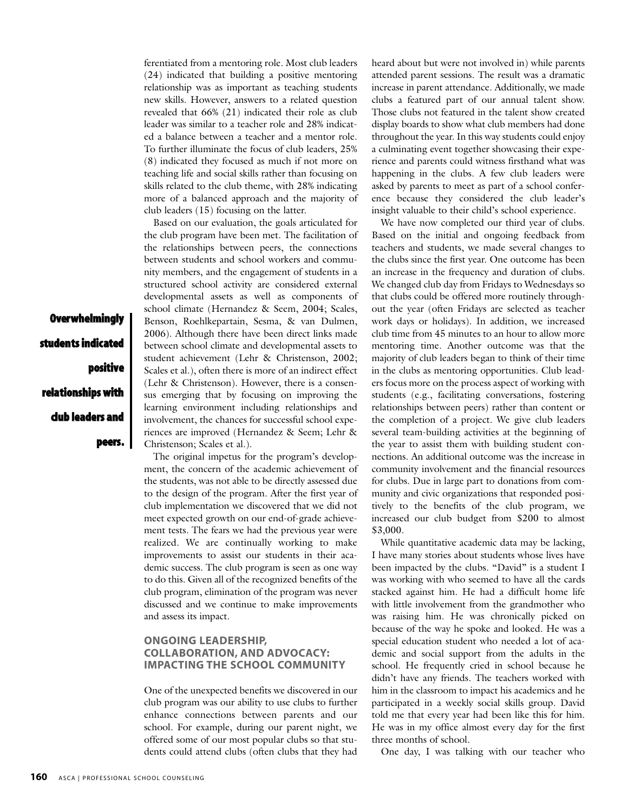ferentiated from a mentoring role. Most club leaders (24) indicated that building a positive mentoring relationship was as important as teaching students new skills. However, answers to a related question revealed that 66% (21) indicated their role as club leader was similar to a teacher role and 28% indicated a balance between a teacher and a mentor role. To further illuminate the focus of club leaders, 25% (8) indicated they focused as much if not more on teaching life and social skills rather than focusing on skills related to the club theme, with 28% indicating more of a balanced approach and the majority of club leaders (15) focusing on the latter.

Based on our evaluation, the goals articulated for the club program have been met. The facilitation of the relationships between peers, the connections between students and school workers and community members, and the engagement of students in a structured school activity are considered external developmental assets as well as components of school climate (Hernandez & Seem, 2004; Scales, Benson, Roehlkepartain, Sesma, & van Dulmen, 2006). Although there have been direct links made between school climate and developmental assets to student achievement (Lehr & Christenson, 2002; Scales et al.), often there is more of an indirect effect (Lehr & Christenson). However, there is a consensus emerging that by focusing on improving the learning environment including relationships and involvement, the chances for successful school experiences are improved (Hernandez & Seem; Lehr & Christenson; Scales et al.).

The original impetus for the program's development, the concern of the academic achievement of the students, was not able to be directly assessed due to the design of the program. After the first year of club implementation we discovered that we did not meet expected growth on our end-of-grade achievement tests. The fears we had the previous year were realized. We are continually working to make improvements to assist our students in their academic success. The club program is seen as one way to do this. Given all of the recognized benefits of the club program, elimination of the program was never discussed and we continue to make improvements and assess its impact.

#### **ONGOING LEADERSHIP, COLLABORATION, AND ADVOCACY: IMPACTING THE SCHOOL COMMUNITY**

One of the unexpected benefits we discovered in our club program was our ability to use clubs to further enhance connections between parents and our school. For example, during our parent night, we offered some of our most popular clubs so that students could attend clubs (often clubs that they had heard about but were not involved in) while parents attended parent sessions. The result was a dramatic increase in parent attendance. Additionally, we made clubs a featured part of our annual talent show. Those clubs not featured in the talent show created display boards to show what club members had done throughout the year. In this way students could enjoy a culminating event together showcasing their experience and parents could witness firsthand what was happening in the clubs. A few club leaders were asked by parents to meet as part of a school conference because they considered the club leader's insight valuable to their child's school experience.

We have now completed our third year of clubs. Based on the initial and ongoing feedback from teachers and students, we made several changes to the clubs since the first year. One outcome has been an increase in the frequency and duration of clubs. We changed club day from Fridays to Wednesdays so that clubs could be offered more routinely throughout the year (often Fridays are selected as teacher work days or holidays). In addition, we increased club time from 45 minutes to an hour to allow more mentoring time. Another outcome was that the majority of club leaders began to think of their time in the clubs as mentoring opportunities. Club leaders focus more on the process aspect of working with students (e.g., facilitating conversations, fostering relationships between peers) rather than content or the completion of a project. We give club leaders several team-building activities at the beginning of the year to assist them with building student connections. An additional outcome was the increase in community involvement and the financial resources for clubs. Due in large part to donations from community and civic organizations that responded positively to the benefits of the club program, we increased our club budget from \$200 to almost \$3,000.

While quantitative academic data may be lacking, I have many stories about students whose lives have been impacted by the clubs. "David" is a student I was working with who seemed to have all the cards stacked against him. He had a difficult home life with little involvement from the grandmother who was raising him. He was chronically picked on because of the way he spoke and looked. He was a special education student who needed a lot of academic and social support from the adults in the school. He frequently cried in school because he didn't have any friends. The teachers worked with him in the classroom to impact his academics and he participated in a weekly social skills group. David told me that every year had been like this for him. He was in my office almost every day for the first three months of school.

One day, I was talking with our teacher who

**Overwhelmingly students indicated positive relationships with club leaders and**

**peers.**